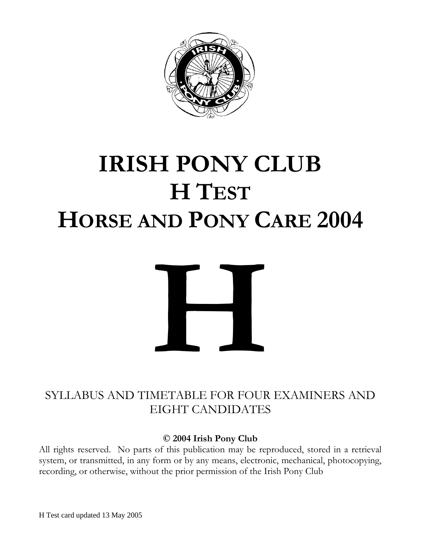

# **IRISH PONY CLUB H TEST HORSE AND PONY CARE 2004**



# SYLLABUS AND TIMETAB LE FOR FOUR EXAMINERS AND EIGHT CANDIDATES

**© 2004 Irish Pony Club**

All rights reserved. No parts of this publication may be reproduced, stored in a retrieval system, or transmitted, in any form or by any means, electronic, mechanical, photocopying, recording, or otherwise, without the prior permission of the Irish Pony Club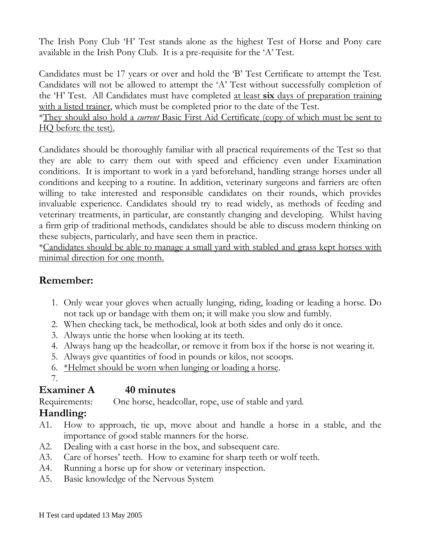The Irish Pony Club 'H' Test stands alone as the highest Test of Horse and Pony care available in the Irish Pony Club. It is a pre-requisite for the 'A' Test.

Candidates must be 17 years or over and hold the 'B' Test Certificate to attempt the Test. Candidates will not be allowed to attempt the 'A' Test without successfully completion of the 'H' Test. All Candidates must have completed at least **six** days of preparation training with a listed trainer, which must be completed prior to the date of the Test.

\*They should also hold a *current* Basic First Aid Certificate (copy of which must be sent to HQ before the test).

Candidates should be thoroughly familiar with all practical requirements of the Test so that they are able to carry them out with speed and efficiency even under Examination conditions. It is important to work in a yard beforehand, handling strange horses under all conditions and keeping to a routine. In addition, veterinary surgeons and farriers are often willing to take interested and responsible candidates on their rounds, which provides invaluable experience. Candidates should try to read widely, as methods of feeding and veterinary treatments, in particular, are constantly changing and developing. Whilst having a firm grip of traditional methods, candidates should be able to discuss modern thinking on these subjects, particularly, and have seen them in practice.

\*Candidates should be able to manage a small yard with stabled and grass kept horses with minimal direction for one month.

## **Remember:**

- 1. Only wear your gloves when actually lunging, riding, loading or leading a horse. Do not tack up or bandage with them on; it will make you slow and fumbly.
- 2. When checking tack, be methodical, look at both sides and only do it once.
- 3. Always untie the horse when looking at its teeth.
- 4. Always hang up the headcollar, or remove it from box if the horse is not wearing it.
- 5. Always give quantities of food in pounds or kilos, not scoops.
- 6. \*Helmet should be worn when lunging or loading a horse.
- 7.

## Examiner A 40 minutes

Requirements: One horse, headcollar, rope, use of stable and yard.

# **Handling:**

- A1. How to approach, tie up, move about and handle a horse in a stable, and the importance of good stable manners for the horse.
- A2. Dealing with a cast horse in the box, and subsequent care.
- A3. Care of horses' teeth. How to examine for sharp teeth or wolf teeth.
- A4. Running a horse up for show or veterinary inspection.
- A5. Basic knowledge of the Nervous System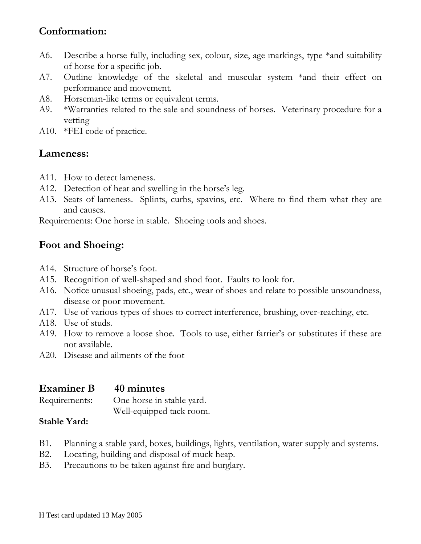## **Conformation:**

- A6. Describe a horse fully, including sex, colour, size, age markings, type \*and suitability of horse for a specific job.
- A7. Outline knowledge of the skeletal and muscular system \*and their effect on performance and movement.
- A8. Horseman-like terms or equivalent terms.
- A9. \*Warranties related to the sale and soundness of horses. Veterinary procedure for a vetting
- A10. \*FEI code of practice.

#### **Lameness:**

- A11. How to detect lameness.
- A12. Detection of heat and swelling in the horse's leg.
- A13. Seats of lameness. Splints, curbs, spavins, etc. Where to find them what they are and causes.

Requirements: One horse in stable. Shoeing tools and shoes.

## **Foot and Shoeing:**

- A14. Structure of horse's foot.
- A15. Recognition of well-shaped and shod foot. Faults to look for.
- A16. Notice unusual shoeing, pads, etc., wear of shoes and relate to possible unsoundness, disease or poor movement.
- A17. Use of various types of shoes to correct interference, brushing, over-reaching, etc.
- A18. Use of studs.
- A19. How to remove a loose shoe. Tools to use, either farrier's or substitutes if these are not available.
- A20. Disease and ailments of the foot

#### **Examiner B 40 minutes** Requirements: One horse in stable yard. Well-equipped tack room.

#### **Stable Yard:**

- B1. Planning a stable yard, boxes, buildings, lights, ventilation, water supply and systems.
- B2. Locating, building and disposal of muck heap.
- B3. Precautions to be taken against fire and burglary.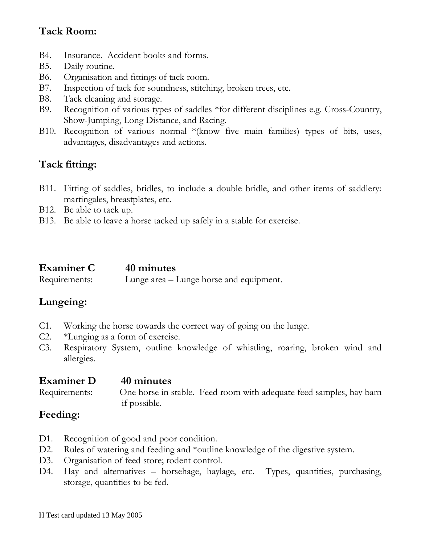# **Tack Room:**

- B4. Insurance. Accident books and forms.
- B5. Daily routine.
- B6. Organisation and fittings of tack room.
- B7. Inspection of tack for soundness, stitching, broken trees, etc.
- B8. Tack cleaning and storage.
- B9. Recognition of various types of saddles \*for different disciplines e.g. Cross-Country, Show-Jumping, Long Distance, and Racing.
- B10. Recognition of various normal \*(know five main families) types of bits, uses, advantages, disadvantages and actions.

# **Tack fitting:**

- B11. Fitting of saddles, bridles, to include a double bridle, and other items of saddlery: martingales, breastplates, etc.
- B12. Be able to tack up.
- B13. Be able to leave a horse tacked up safely in a stable for exercise.

| <b>Examiner C</b> | 40 minutes                              |
|-------------------|-----------------------------------------|
| Requirements:     | Lunge area – Lunge horse and equipment. |

## **Lungeing:**

- C1. Working the horse towards the correct way of going on the lunge.
- C2. \*Lunging as a form of exercise.
- C3. Respiratory System, outline knowledge of whistling, roaring, broken wind and allergies.

#### **Examiner D 40 minutes** Requirements: One horse in stable. Feed room with adequate feed samples, hay barn if possible.

### **Feeding:**

- D1. Recognition of good and poor condition.
- D2. Rules of watering and feeding and \*outline knowledge of the digestive system.
- D3. Organisation of feed store; rodent control.
- D4. Hay and alternatives horsehage, haylage, etc. Types, quantities, purchasing, storage, quantities to be fed.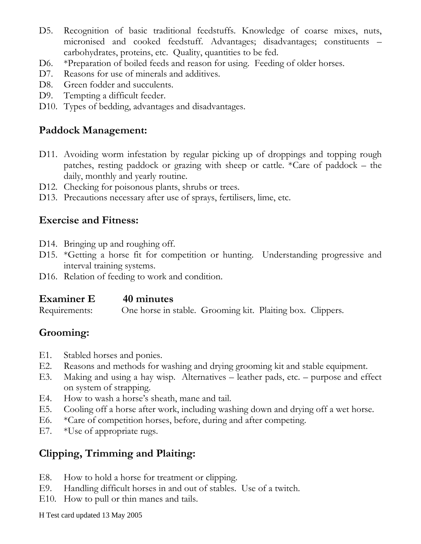- D5. Recognition of basic traditional feedstuffs. Knowledge of coarse mixes, nuts, micronised and cooked feedstuff. Advantages; disadvantages; constituents – carbohydrates, proteins, etc. Quality, quantities to be fed.
- D6. \*Preparation of boiled feeds and reason for using. Feeding of older horses.
- D7. Reasons for use of minerals and additives.
- D8. Green fodder and succulents.
- D9. Tempting a difficult feeder.
- D10. Types of bedding, advantages and disadvantages.

## **Paddock Management:**

- D11. Avoiding worm infestation by regular picking up of droppings and topping rough patches, resting paddock or grazing with sheep or cattle. \*Care of paddock – the daily, monthly and yearly routine.
- D12. Checking for poisonous plants, shrubs or trees.
- D13. Precautions necessary after use of sprays, fertilisers, lime, etc.

## **Exercise and Fitness:**

- D14. Bringing up and roughing off.
- D15. \*Getting a horse fit for competition or hunting. Understanding progressive and interval training systems.
- D16. Relation of feeding to work and condition.

#### **Examiner E 40 minutes**

Requirements: One horse in stable. Grooming kit. Plaiting box. Clippers.

# **Grooming:**

- E1. Stabled horses and ponies.
- E2. Reasons and methods for washing and drying grooming kit and stable equipment.
- E3. Making and using a hay wisp. Alternatives leather pads, etc. purpose and effect on system of strapping.
- E4. How to wash a horse's sheath, mane and tail.
- E5. Cooling off a horse after work, including washing down and drying off a wet horse.
- E6. \*Care of competition horses, before, during and after competing.
- E7. \*Use of appropriate rugs.

# **Clipping, Trimming and Plaiting:**

- E8. How to hold a horse for treatment or clipping.
- E9. Handling difficult horses in and out of stables. Use of a twitch.
- E10. How to pull or thin manes and tails.

H Test card updated 13 May 2005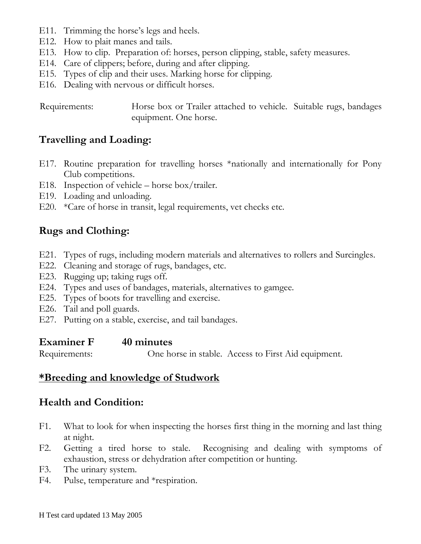- E11. Trimming the horse's legs and heels.
- E12. How to plait manes and tails.
- E13. How to clip. Preparation of: horses, person clipping, stable, safety measures.
- E14. Care of clippers; before, during and after clipping.
- E15. Types of clip and their uses. Marking horse for clipping.
- E16. Dealing with nervous or difficult horses.

 Requirements: Horse box or Trailer attached to vehicle. Suitable rugs, bandages equipment. One horse.

#### **Travelling and Loading:**

- E17. Routine preparation for travelling horses \*nationally and internationally for Pony Club competitions.
- E18. Inspection of vehicle horse box/trailer.
- E19. Loading and unloading.
- E20. \*Care of horse in transit, legal requirements, vet checks etc.

#### **Rugs and Clothing:**

- E21. Types of rugs, including modern materials and alternatives to rollers and Surcingles.
- E22. Cleaning and storage of rugs, bandages, etc.
- E23. Rugging up; taking rugs off.
- E24. Types and uses of bandages, materials, alternatives to gamgee.
- E25. Types of boots for travelling and exercise.
- E26. Tail and poll guards.
- E27. Putting on a stable, exercise, and tail bandages.

#### **Examiner F 40 minutes**

Requirements: One horse in stable. Access to First Aid equipment.

#### **\*Breeding and knowledge of Studwork**

#### **Health and Condition:**

- F1. What to look for when inspecting the horses first thing in the morning and last thing at night.
- F2. Getting a tired horse to stale. Recognising and dealing with symptoms of exhaustion, stress or dehydration after competition or hunting.
- F3. The urinary system.
- F4. Pulse, temperature and \*respiration.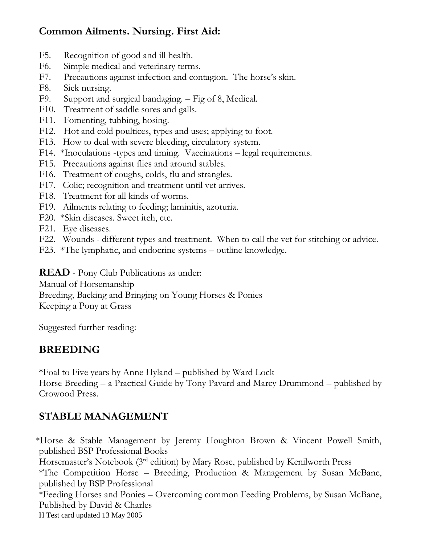# **Common Ailments. Nursing. First Aid:**

- F5. Recognition of good and ill health.
- F6. Simple medical and veterinary terms.
- F7. Precautions against infection and contagion. The horse's skin.
- F8. Sick nursing.
- F9. Support and surgical bandaging. Fig of 8, Medical.
- F10. Treatment of saddle sores and galls.
- F11. Fomenting, tubbing, hosing.
- F12. Hot and cold poultices, types and uses; applying to foot.
- F13. How to deal with severe bleeding, circulatory system.
- F14. \*Inoculations -types and timing. Vaccinations legal requirements.
- F15. Precautions against flies and around stables.
- F16. Treatment of coughs, colds, flu and strangles.
- F17. Colic; recognition and treatment until vet arrives.
- F18. Treatment for all kinds of worms.
- F19. Ailments relating to feeding; laminitis, azoturia.
- F20. \*Skin diseases. Sweet itch, etc.
- F21. Eye diseases.
- F22. Wounds different types and treatment. When to call the vet for stitching or advice.
- F23. \*The lymphatic, and endocrine systems outline knowledge.

**READ** - Pony Club Publications as under:

Manual of Horsemanship

Breeding, Backing and Bringing on Young Horses & Ponies

Keeping a Pony at Grass

Suggested further reading:

# **BREEDING**

\*Foal to Five years by Anne Hyland – published by Ward Lock Horse Breeding – a Practical Guide by Tony Pavard and Marcy Drummond – published by Crowood Press.

# **STABLE MANAGEMENT**

 \*Horse & Stable Management by Jeremy Houghton Brown & Vincent Powell Smith, published BSP Professional Books

Horsemaster's Notebook (3rd edition) by Mary Rose, published by Kenilworth Press

\*The Competition Horse – Breeding, Production & Management by Susan McBane, published by BSP Professional

\*Feeding Horses and Ponies – Overcoming common Feeding Problems, by Susan McBane, Published by David & Charles

H Test card updated 13 May 2005